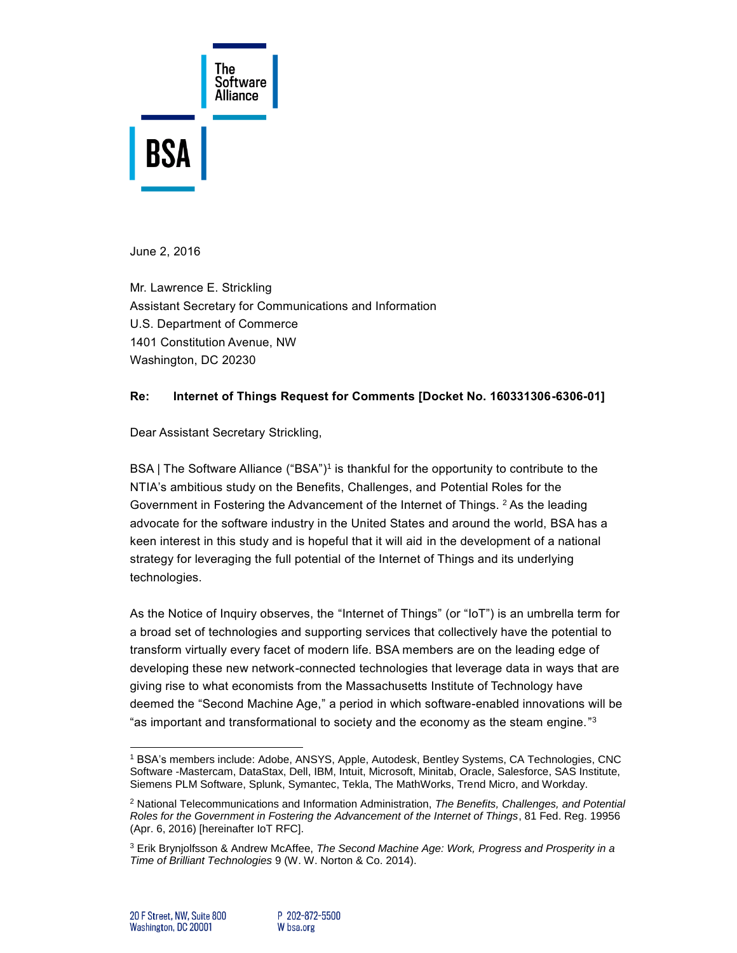

June 2, 2016

Mr. Lawrence E. Strickling Assistant Secretary for Communications and Information U.S. Department of Commerce 1401 Constitution Avenue, NW Washington, DC 20230

## **Re: Internet of Things Request for Comments [Docket No. 160331306-6306-01]**

Dear Assistant Secretary Strickling,

BSA | The Software Alliance ("BSA")<sup>1</sup> is thankful for the opportunity to contribute to the NTIA's ambitious study on the Benefits, Challenges, and Potential Roles for the Government in Fostering the Advancement of the Internet of Things. <sup>2</sup> As the leading advocate for the software industry in the United States and around the world, BSA has a keen interest in this study and is hopeful that it will aid in the development of a national strategy for leveraging the full potential of the Internet of Things and its underlying technologies.

As the Notice of Inquiry observes, the "Internet of Things" (or "IoT") is an umbrella term for a broad set of technologies and supporting services that collectively have the potential to transform virtually every facet of modern life. BSA members are on the leading edge of developing these new network-connected technologies that leverage data in ways that are giving rise to what economists from the Massachusetts Institute of Technology have deemed the "Second Machine Age," a period in which software-enabled innovations will be "as important and transformational to society and the economy as the steam engine." $^{\rm 3}$ 

l <sup>1</sup> BSA's members include: Adobe, ANSYS, Apple, Autodesk, Bentley Systems, CA Technologies, CNC Software -Mastercam, DataStax, Dell, IBM, Intuit, Microsoft, Minitab, Oracle, Salesforce, SAS Institute, Siemens PLM Software, Splunk, Symantec, Tekla, The MathWorks, Trend Micro, and Workday.

<sup>2</sup> National Telecommunications and Information Administration, *The Benefits, Challenges, and Potential Roles for the Government in Fostering the Advancement of the Internet of Things*, 81 Fed. Reg. 19956 (Apr. 6, 2016) [hereinafter IoT RFC].

<sup>3</sup> Erik Brynjolfsson & Andrew McAffee, *The Second Machine Age: Work, Progress and Prosperity in a Time of Brilliant Technologies* 9 (W. W. Norton & Co. 2014).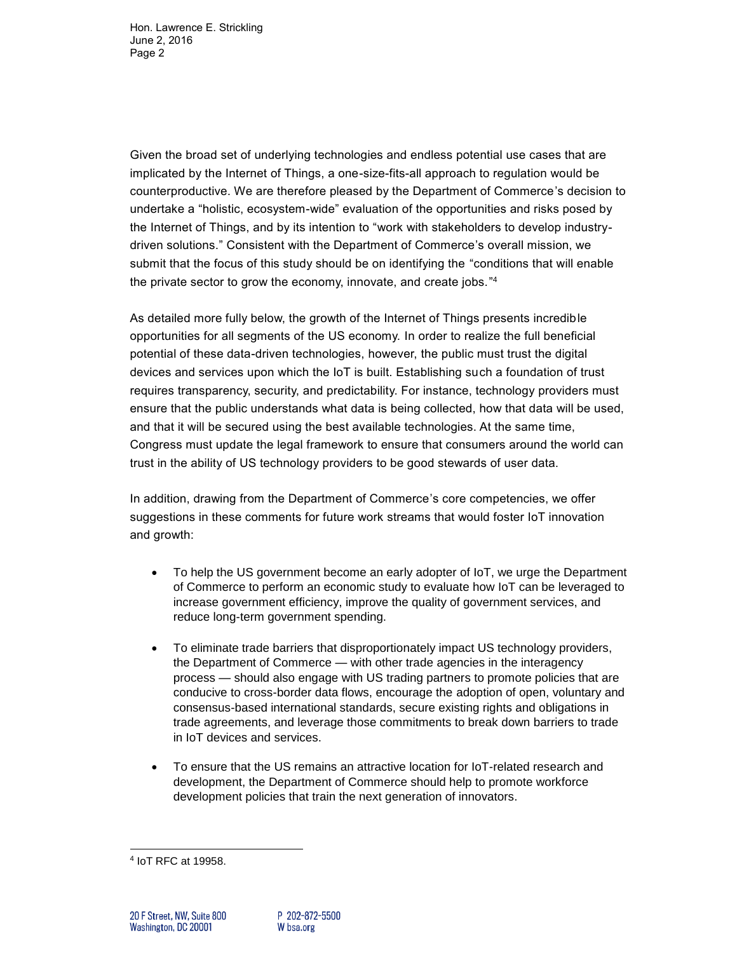Given the broad set of underlying technologies and endless potential use cases that are implicated by the Internet of Things, a one-size-fits-all approach to regulation would be counterproductive. We are therefore pleased by the Department of Commerce's decision to undertake a "holistic, ecosystem-wide" evaluation of the opportunities and risks posed by the Internet of Things, and by its intention to "work with stakeholders to develop industrydriven solutions." Consistent with the Department of Commerce's overall mission, we submit that the focus of this study should be on identifying the "conditions that will enable the private sector to grow the economy, innovate, and create jobs." 4

As detailed more fully below, the growth of the Internet of Things presents incredible opportunities for all segments of the US economy. In order to realize the full beneficial potential of these data-driven technologies, however, the public must trust the digital devices and services upon which the IoT is built. Establishing such a foundation of trust requires transparency, security, and predictability. For instance, technology providers must ensure that the public understands what data is being collected, how that data will be used, and that it will be secured using the best available technologies. At the same time, Congress must update the legal framework to ensure that consumers around the world can trust in the ability of US technology providers to be good stewards of user data.

In addition, drawing from the Department of Commerce's core competencies, we offer suggestions in these comments for future work streams that would foster IoT innovation and growth:

- To help the US government become an early adopter of IoT, we urge the Department of Commerce to perform an economic study to evaluate how IoT can be leveraged to increase government efficiency, improve the quality of government services, and reduce long-term government spending.
- To eliminate trade barriers that disproportionately impact US technology providers, the Department of Commerce — with other trade agencies in the interagency process — should also engage with US trading partners to promote policies that are conducive to cross-border data flows, encourage the adoption of open, voluntary and consensus-based international standards, secure existing rights and obligations in trade agreements, and leverage those commitments to break down barriers to trade in IoT devices and services.
- To ensure that the US remains an attractive location for IoT-related research and development, the Department of Commerce should help to promote workforce development policies that train the next generation of innovators.

 4 IoT RFC at 19958.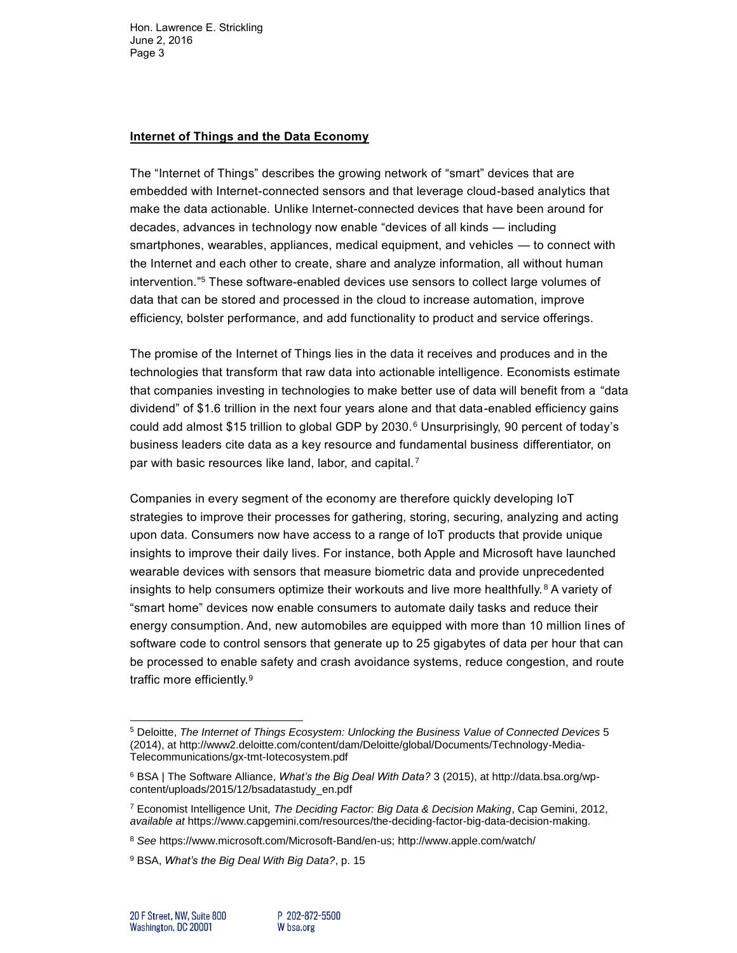## **Internet of Things and the Data Economy**

The "Internet of Things" describes the growing network of "smart" devices that are embedded with Internet-connected sensors and that leverage cloud-based analytics that make the data actionable. Unlike Internet-connected devices that have been around for decades, advances in technology now enable "devices of all kinds — including smartphones, wearables, appliances, medical equipment, and vehicles — to connect with the Internet and each other to create, share and analyze information, all without human intervention." <sup>5</sup> These software-enabled devices use sensors to collect large volumes of data that can be stored and processed in the cloud to increase automation, improve efficiency, bolster performance, and add functionality to product and service offerings.

The promise of the Internet of Things lies in the data it receives and produces and in the technologies that transform that raw data into actionable intelligence. Economists estimate that companies investing in technologies to make better use of data will benefit from a "data dividend" of \$1.6 trillion in the next four years alone and that data-enabled efficiency gains could add almost \$15 trillion to global GDP by 2030.<sup>6</sup> Unsurprisingly, 90 percent of today's business leaders cite data as a key resource and fundamental business differentiator, on par with basic resources like land, labor, and capital.<sup>7</sup>

Companies in every segment of the economy are therefore quickly developing IoT strategies to improve their processes for gathering, storing, securing, analyzing and acting upon data. Consumers now have access to a range of IoT products that provide unique insights to improve their daily lives. For instance, both Apple and Microsoft have launched wearable devices with sensors that measure biometric data and provide unprecedented insights to help consumers optimize their workouts and live more healthfully.<sup>8</sup> A variety of "smart home" devices now enable consumers to automate daily tasks and reduce their energy consumption. And, new automobiles are equipped with more than 10 million lines of software code to control sensors that generate up to 25 gigabytes of data per hour that can be processed to enable safety and crash avoidance systems, reduce congestion, and route traffic more efficiently.<sup>9</sup>

l

<sup>5</sup> Deloitte, *The Internet of Things Ecosystem: Unlocking the Business Value of Connected Devices* 5 (2014), at [http://www2.deloitte.com/content/dam/Deloitte/global/Documents/Technology-Media-](http://www2.deloitte.com/content/dam/Deloitte/global/Documents/Technology-Media-Telecommunications/gx-tmt-Iotecosystem.pdf)[Telecommunications/gx-tmt-Iotecosystem.pdf](http://www2.deloitte.com/content/dam/Deloitte/global/Documents/Technology-Media-Telecommunications/gx-tmt-Iotecosystem.pdf)

<sup>6</sup> BSA | The Software Alliance, *What's the Big Deal With Data?* 3 (2015), at [http://data.bsa.org/wp](http://data.bsa.org/wp-content/uploads/2015/12/bsadatastudy_en.pdf)[content/uploads/2015/12/bsadatastudy\\_en.pdf](http://data.bsa.org/wp-content/uploads/2015/12/bsadatastudy_en.pdf)

<sup>7</sup> Economist Intelligence Unit, *The Deciding Factor: Big Data & Decision Making*, Cap Gemini, 2012, *available at* [https://www.capgemini.com/resources/the-deciding-factor-big-data-decision-making.](https://www.capgemini.com/resources/the-deciding-factor-big-data-decision-making)

<sup>8</sup> *See* [https://www.microsoft.com/Microsoft-Band/en-us;](https://www.microsoft.com/Microsoft-Band/en-us)<http://www.apple.com/watch/>

<sup>9</sup> BSA, *What's the Big Deal With Big Data?*, p. 15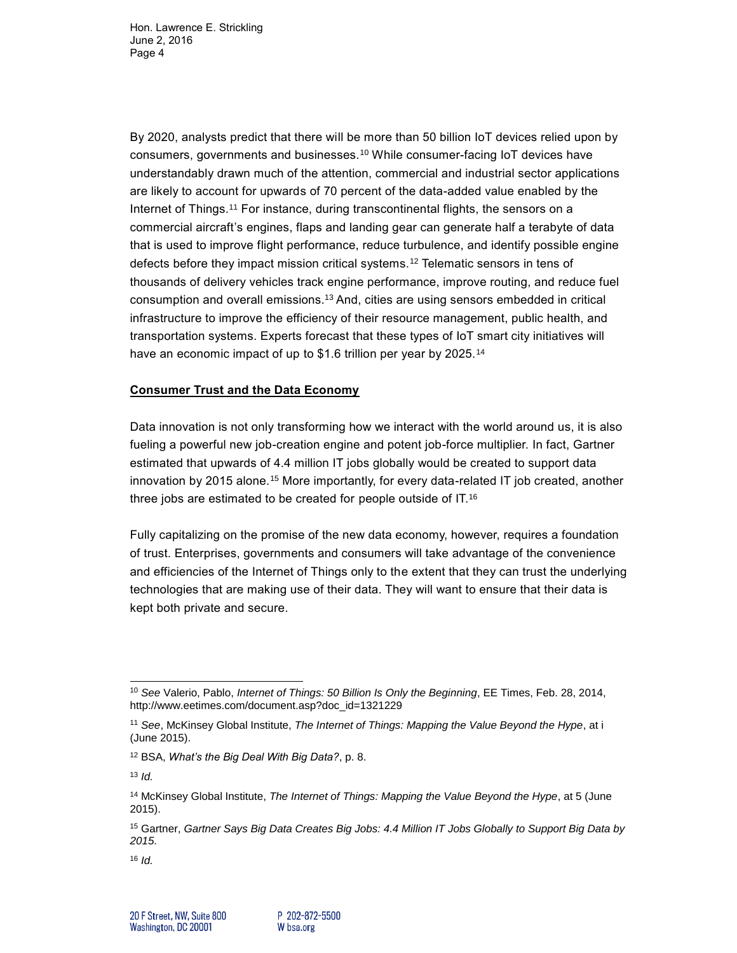By 2020, analysts predict that there will be more than 50 billion IoT devices relied upon by consumers, governments and businesses.<sup>10</sup> While consumer-facing IoT devices have understandably drawn much of the attention, commercial and industrial sector applications are likely to account for upwards of 70 percent of the data-added value enabled by the Internet of Things.<sup>11</sup> For instance, during transcontinental flights, the sensors on a commercial aircraft's engines, flaps and landing gear can generate half a terabyte of data that is used to improve flight performance, reduce turbulence, and identify possible engine defects before they impact mission critical systems.<sup>12</sup> Telematic sensors in tens of thousands of delivery vehicles track engine performance, improve routing, and reduce fuel consumption and overall emissions.<sup>13</sup> And, cities are using sensors embedded in critical infrastructure to improve the efficiency of their resource management, public health, and transportation systems. Experts forecast that these types of IoT smart city initiatives will have an economic impact of up to \$1.6 trillion per year by 2025.<sup>14</sup>

## **Consumer Trust and the Data Economy**

Data innovation is not only transforming how we interact with the world around us, it is also fueling a powerful new job-creation engine and potent job-force multiplier. In fact, Gartner estimated that upwards of 4.4 million IT jobs globally would be created to support data innovation by 2015 alone.<sup>15</sup> More importantly, for every data-related IT job created, another three jobs are estimated to be created for people outside of IT.<sup>16</sup>

Fully capitalizing on the promise of the new data economy, however, requires a foundation of trust. Enterprises, governments and consumers will take advantage of the convenience and efficiencies of the Internet of Things only to the extent that they can trust the underlying technologies that are making use of their data. They will want to ensure that their data is kept both private and secure.

l

<sup>10</sup> *See* Valerio, Pablo, *Internet of Things: 50 Billion Is Only the Beginning*, EE Times, Feb. 28, 2014, [http://www.eetimes.com/document.asp?doc\\_id=1321229](http://www.eetimes.com/document.asp?doc_id=1321229)

<sup>11</sup> *See*, McKinsey Global Institute, *The Internet of Things: Mapping the Value Beyond the Hype*, at i (June 2015).

<sup>12</sup> BSA, *What's the Big Deal With Big Data?*, p. 8.

<sup>13</sup> *Id.*

<sup>14</sup> McKinsey Global Institute, *The Internet of Things: Mapping the Value Beyond the Hype*, at 5 (June 2015).

<sup>15</sup> Gartner, *Gartner Says Big Data Creates Big Jobs: 4.4 Million IT Jobs Globally to Support Big Data by 2015.*

<sup>16</sup> *Id.*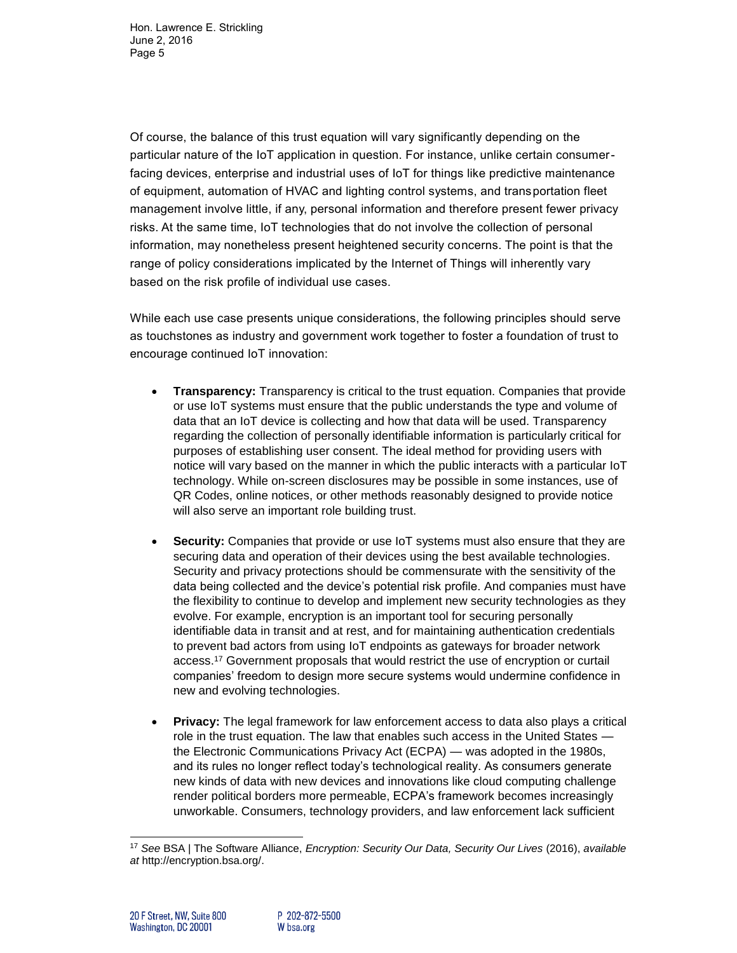Of course, the balance of this trust equation will vary significantly depending on the particular nature of the IoT application in question. For instance, unlike certain consumerfacing devices, enterprise and industrial uses of IoT for things like predictive maintenance of equipment, automation of HVAC and lighting control systems, and transportation fleet management involve little, if any, personal information and therefore present fewer privacy risks. At the same time, IoT technologies that do not involve the collection of personal information, may nonetheless present heightened security concerns. The point is that the range of policy considerations implicated by the Internet of Things will inherently vary based on the risk profile of individual use cases.

While each use case presents unique considerations, the following principles should serve as touchstones as industry and government work together to foster a foundation of trust to encourage continued IoT innovation:

- **Transparency:** Transparency is critical to the trust equation. Companies that provide or use IoT systems must ensure that the public understands the type and volume of data that an IoT device is collecting and how that data will be used. Transparency regarding the collection of personally identifiable information is particularly critical for purposes of establishing user consent. The ideal method for providing users with notice will vary based on the manner in which the public interacts with a particular IoT technology. While on-screen disclosures may be possible in some instances, use of QR Codes, online notices, or other methods reasonably designed to provide notice will also serve an important role building trust.
- **Security:** Companies that provide or use IoT systems must also ensure that they are securing data and operation of their devices using the best available technologies. Security and privacy protections should be commensurate with the sensitivity of the data being collected and the device's potential risk profile. And companies must have the flexibility to continue to develop and implement new security technologies as they evolve. For example, encryption is an important tool for securing personally identifiable data in transit and at rest, and for maintaining authentication credentials to prevent bad actors from using IoT endpoints as gateways for broader network access.<sup>17</sup> Government proposals that would restrict the use of encryption or curtail companies' freedom to design more secure systems would undermine confidence in new and evolving technologies.
- **Privacy:** The legal framework for law enforcement access to data also plays a critical role in the trust equation. The law that enables such access in the United States the Electronic Communications Privacy Act (ECPA) — was adopted in the 1980s, and its rules no longer reflect today's technological reality. As consumers generate new kinds of data with new devices and innovations like cloud computing challenge render political borders more permeable, ECPA's framework becomes increasingly unworkable. Consumers, technology providers, and law enforcement lack sufficient

l <sup>17</sup> *See* BSA | The Software Alliance, *Encryption: Security Our Data, Security Our Lives* (2016), *available at* [http://encryption.bsa.org/.](http://encryption.bsa.org/)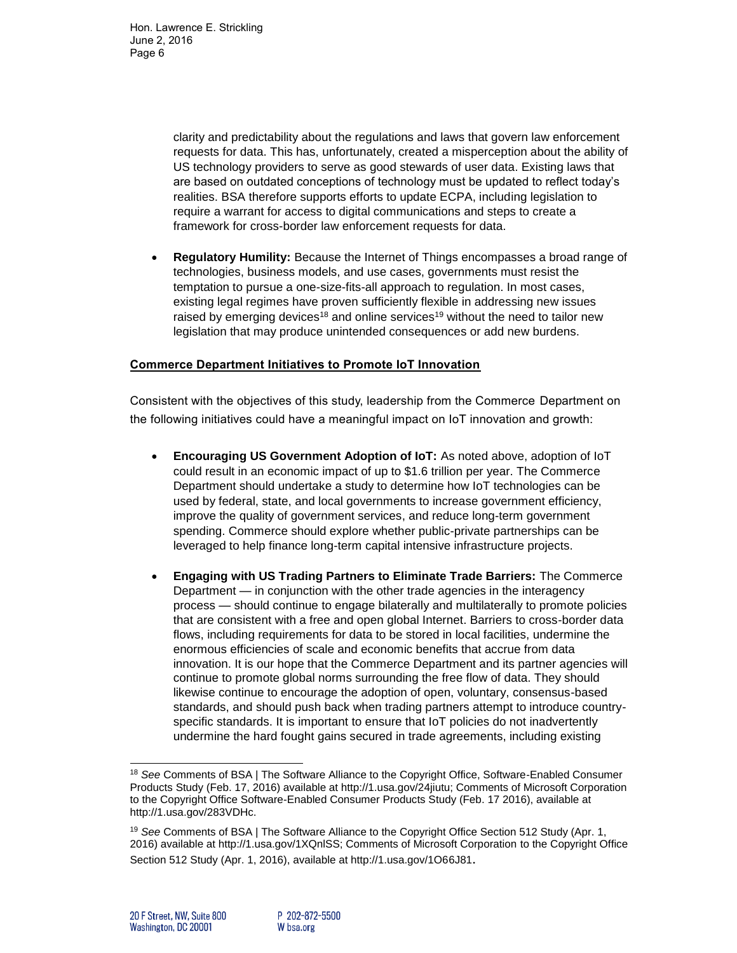> clarity and predictability about the regulations and laws that govern law enforcement requests for data. This has, unfortunately, created a misperception about the ability of US technology providers to serve as good stewards of user data. Existing laws that are based on outdated conceptions of technology must be updated to reflect today's realities. BSA therefore supports efforts to update ECPA, including legislation to require a warrant for access to digital communications and steps to create a framework for cross-border law enforcement requests for data.

 **Regulatory Humility:** Because the Internet of Things encompasses a broad range of technologies, business models, and use cases, governments must resist the temptation to pursue a one-size-fits-all approach to regulation. In most cases, existing legal regimes have proven sufficiently flexible in addressing new issues raised by emerging devices<sup>18</sup> and online services<sup>19</sup> without the need to tailor new legislation that may produce unintended consequences or add new burdens.

## **Commerce Department Initiatives to Promote IoT Innovation**

Consistent with the objectives of this study, leadership from the Commerce Department on the following initiatives could have a meaningful impact on IoT innovation and growth:

- **Encouraging US Government Adoption of IoT:** As noted above, adoption of IoT could result in an economic impact of up to \$1.6 trillion per year. The Commerce Department should undertake a study to determine how IoT technologies can be used by federal, state, and local governments to increase government efficiency, improve the quality of government services, and reduce long-term government spending. Commerce should explore whether public-private partnerships can be leveraged to help finance long-term capital intensive infrastructure projects.
- **Engaging with US Trading Partners to Eliminate Trade Barriers:** The Commerce Department — in conjunction with the other trade agencies in the interagency process — should continue to engage bilaterally and multilaterally to promote policies that are consistent with a free and open global Internet. Barriers to cross-border data flows, including requirements for data to be stored in local facilities, undermine the enormous efficiencies of scale and economic benefits that accrue from data innovation. It is our hope that the Commerce Department and its partner agencies will continue to promote global norms surrounding the free flow of data. They should likewise continue to encourage the adoption of open, voluntary, consensus-based standards, and should push back when trading partners attempt to introduce countryspecific standards. It is important to ensure that IoT policies do not inadvertently undermine the hard fought gains secured in trade agreements, including existing

l

<sup>18</sup> *See* Comments of BSA | The Software Alliance to the Copyright Office, Software-Enabled Consumer Products Study (Feb. 17, 2016) available at http://1.usa.gov/24jiutu; Comments of Microsoft Corporation to the Copyright Office Software-Enabled Consumer Products Study (Feb. 17 2016), available at http://1.usa.gov/283VDHc.

<sup>19</sup> *See* Comments of BSA | The Software Alliance to the Copyright Office Section 512 Study (Apr. 1, 2016) available at http://1.usa.gov/1XQnlSS; Comments of Microsoft Corporation to the Copyright Office Section 512 Study (Apr. 1, 2016), available at http://1.usa.gov/1O66J81.